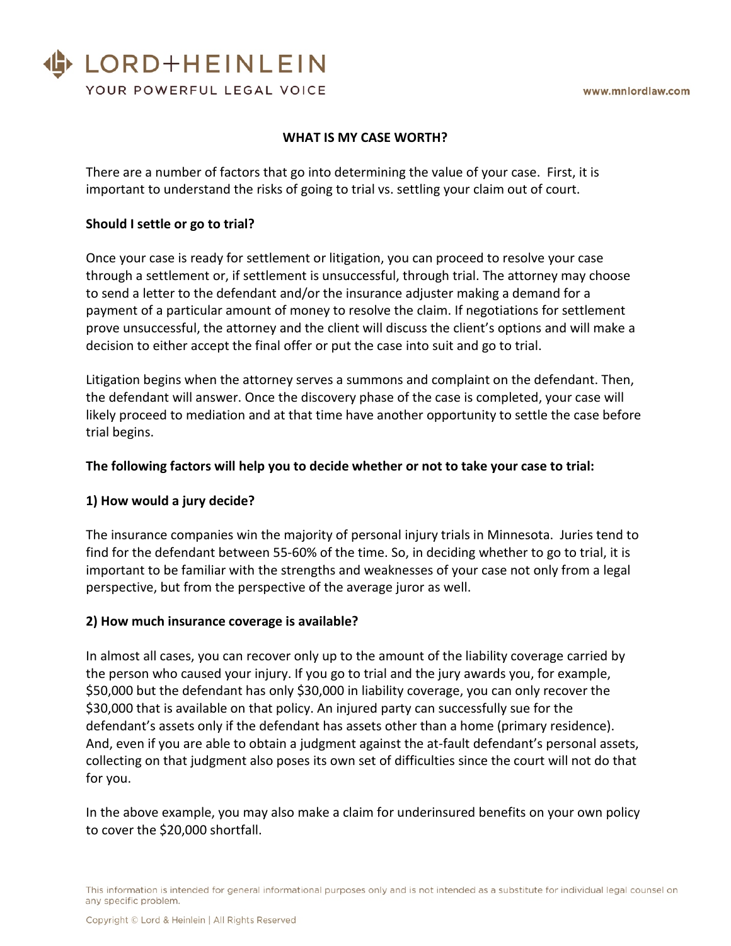

YOUR POWERFUL LEGAL VOICE

#### **WHAT IS MY CASE WORTH?**

There are a number of factors that go into determining the value of your case. First, it is important to understand the risks of going to trial vs. settling your claim out of court.

#### **Should I settle or go to trial?**

Once your case is ready for settlement or litigation, you can proceed to resolve your case through a settlement or, if settlement is unsuccessful, through trial. The attorney may choose to send a letter to the defendant and/or the insurance adjuster making a demand for a payment of a particular amount of money to resolve the claim. If negotiations for settlement prove unsuccessful, the attorney and the client will discuss the client's options and will make a decision to either accept the final offer or put the case into suit and go to trial.

Litigation begins when the attorney serves a summons and complaint on the defendant. Then, the defendant will answer. Once the discovery phase of the case is completed, your case will likely proceed to mediation and at that time have another opportunity to settle the case before trial begins.

#### **The following factors will help you to decide whether or not to take your case to trial:**

#### **1) How would a jury decide?**

The insurance companies win the majority of personal injury trials in Minnesota. Juries tend to find for the defendant between 55-60% of the time. So, in deciding whether to go to trial, it is important to be familiar with the strengths and weaknesses of your case not only from a legal perspective, but from the perspective of the average juror as well.

#### **2) How much insurance coverage is available?**

In almost all cases, you can recover only up to the amount of the liability coverage carried by the person who caused your injury. If you go to trial and the jury awards you, for example, \$50,000 but the defendant has only \$30,000 in liability coverage, you can only recover the \$30,000 that is available on that policy. An injured party can successfully sue for the defendant's assets only if the defendant has assets other than a home (primary residence). And, even if you are able to obtain a judgment against the at-fault defendant's personal assets, collecting on that judgment also poses its own set of difficulties since the court will not do that for you.

In the above example, you may also make a claim for underinsured benefits on your own policy to cover the \$20,000 shortfall.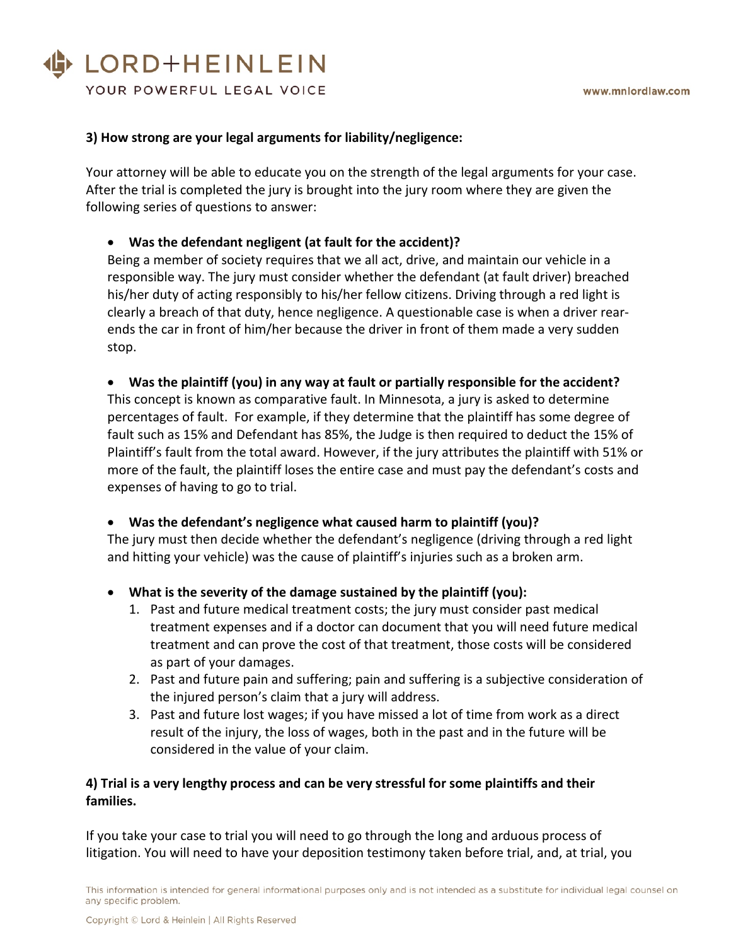# LORD+HEINLEIN

YOUR POWERFUL LEGAL VOICE

# **3) How strong are your legal arguments for liability/negligence:**

Your attorney will be able to educate you on the strength of the legal arguments for your case. After the trial is completed the jury is brought into the jury room where they are given the following series of questions to answer:

# • **Was the defendant negligent (at fault for the accident)?**

Being a member of society requires that we all act, drive, and maintain our vehicle in a responsible way. The jury must consider whether the defendant (at fault driver) breached his/her duty of acting responsibly to his/her fellow citizens. Driving through a red light is clearly a breach of that duty, hence negligence. A questionable case is when a driver rearends the car in front of him/her because the driver in front of them made a very sudden stop.

# • **Was the plaintiff (you) in any way at fault or partially responsible for the accident?**

This concept is known as comparative fault. In Minnesota, a jury is asked to determine percentages of fault. For example, if they determine that the plaintiff has some degree of fault such as 15% and Defendant has 85%, the Judge is then required to deduct the 15% of Plaintiff's fault from the total award. However, if the jury attributes the plaintiff with 51% or more of the fault, the plaintiff loses the entire case and must pay the defendant's costs and expenses of having to go to trial.

# • **Was the defendant's negligence what caused harm to plaintiff (you)?**

The jury must then decide whether the defendant's negligence (driving through a red light and hitting your vehicle) was the cause of plaintiff's injuries such as a broken arm.

- **What is the severity of the damage sustained by the plaintiff (you):**
	- 1. Past and future medical treatment costs; the jury must consider past medical treatment expenses and if a doctor can document that you will need future medical treatment and can prove the cost of that treatment, those costs will be considered as part of your damages.
	- 2. Past and future pain and suffering; pain and suffering is a subjective consideration of the injured person's claim that a jury will address.
	- 3. Past and future lost wages; if you have missed a lot of time from work as a direct result of the injury, the loss of wages, both in the past and in the future will be considered in the value of your claim.

# **4) Trial is a very lengthy process and can be very stressful for some plaintiffs and their families.**

If you take your case to trial you will need to go through the long and arduous process of litigation. You will need to have your deposition testimony taken before trial, and, at trial, you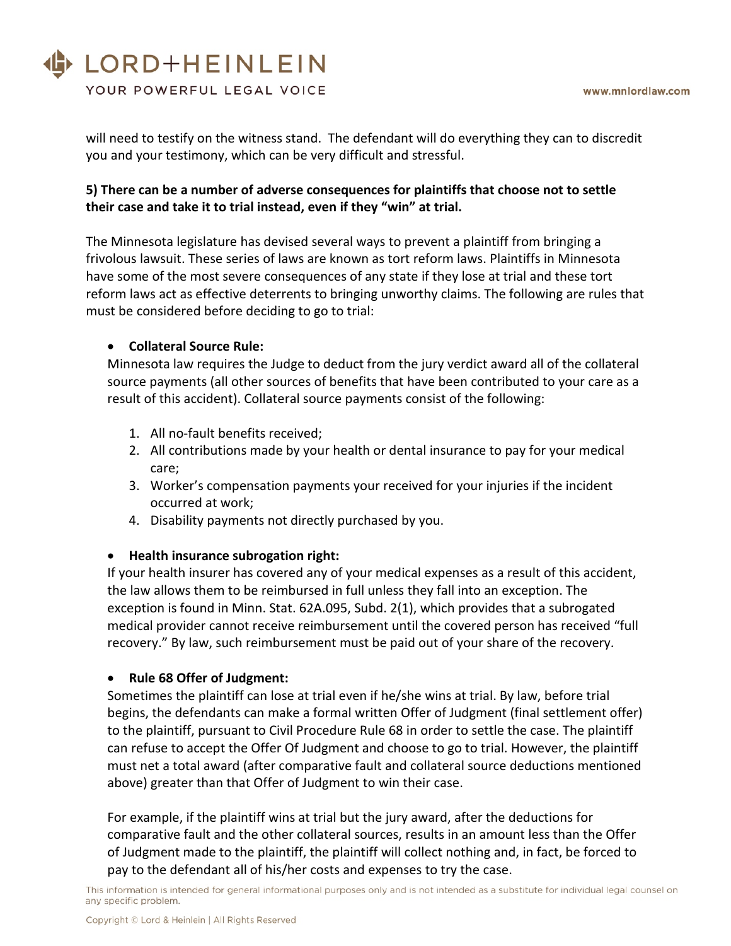# LORD+HEINLEIN

YOUR POWERFUL LEGAL VOICE

will need to testify on the witness stand. The defendant will do everything they can to discredit you and your testimony, which can be very difficult and stressful.

# **5) There can be a number of adverse consequences for plaintiffs that choose not to settle their case and take it to trial instead, even if they "win" at trial.**

The Minnesota legislature has devised several ways to prevent a plaintiff from bringing a frivolous lawsuit. These series of laws are known as tort reform laws. Plaintiffs in Minnesota have some of the most severe consequences of any state if they lose at trial and these tort reform laws act as effective deterrents to bringing unworthy claims. The following are rules that must be considered before deciding to go to trial:

#### • **Collateral Source Rule:**

Minnesota law requires the Judge to deduct from the jury verdict award all of the collateral source payments (all other sources of benefits that have been contributed to your care as a result of this accident). Collateral source payments consist of the following:

- 1. All no-fault benefits received;
- 2. All contributions made by your health or dental insurance to pay for your medical care;
- 3. Worker's compensation payments your received for your injuries if the incident occurred at work;
- 4. Disability payments not directly purchased by you.

# • **Health insurance subrogation right:**

If your health insurer has covered any of your medical expenses as a result of this accident, the law allows them to be reimbursed in full unless they fall into an exception. The exception is found in Minn. Stat. 62A.095, Subd. 2(1), which provides that a subrogated medical provider cannot receive reimbursement until the covered person has received "full recovery." By law, such reimbursement must be paid out of your share of the recovery.

# • **Rule 68 Offer of Judgment:**

Sometimes the plaintiff can lose at trial even if he/she wins at trial. By law, before trial begins, the defendants can make a formal written Offer of Judgment (final settlement offer) to the plaintiff, pursuant to Civil Procedure Rule 68 in order to settle the case. The plaintiff can refuse to accept the Offer Of Judgment and choose to go to trial. However, the plaintiff must net a total award (after comparative fault and collateral source deductions mentioned above) greater than that Offer of Judgment to win their case.

For example, if the plaintiff wins at trial but the jury award, after the deductions for comparative fault and the other collateral sources, results in an amount less than the Offer of Judgment made to the plaintiff, the plaintiff will collect nothing and, in fact, be forced to pay to the defendant all of his/her costs and expenses to try the case.

This information is intended for general informational purposes only and is not intended as a substitute for individual legal counsel on any specific problem.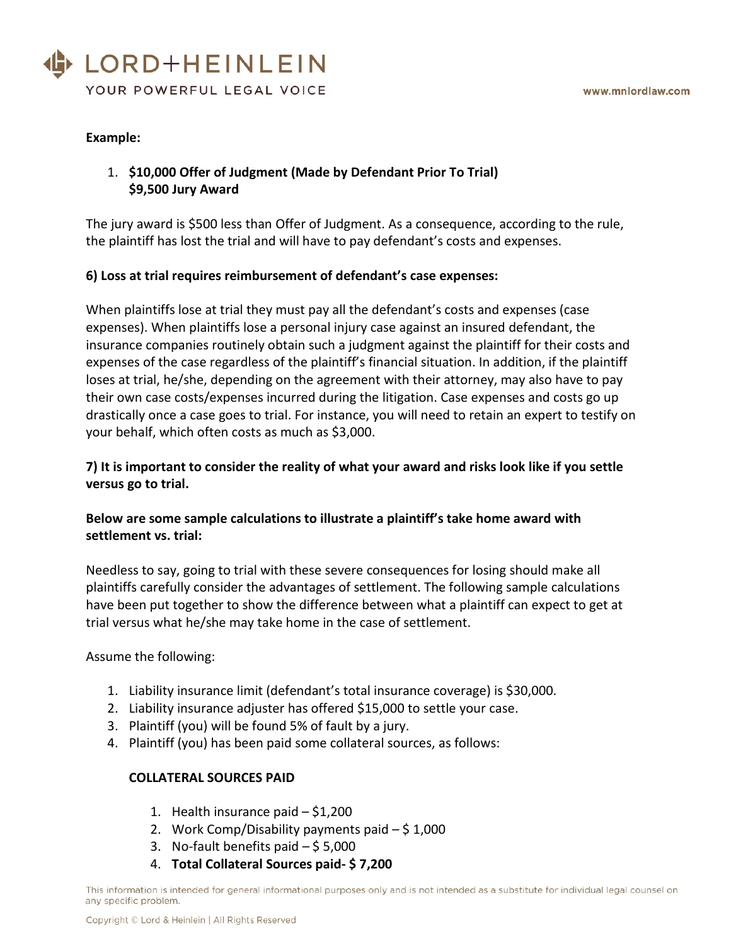

#### **Example:**

# 1. **\$10,000 Offer of Judgment (Made by Defendant Prior To Trial) \$9,500 Jury Award**

The jury award is \$500 less than Offer of Judgment. As a consequence, according to the rule, the plaintiff has lost the trial and will have to pay defendant's costs and expenses.

#### **6) Loss at trial requires reimbursement of defendant's case expenses:**

When plaintiffs lose at trial they must pay all the defendant's costs and expenses (case expenses). When plaintiffs lose a personal injury case against an insured defendant, the insurance companies routinely obtain such a judgment against the plaintiff for their costs and expenses of the case regardless of the plaintiff's financial situation. In addition, if the plaintiff loses at trial, he/she, depending on the agreement with their attorney, may also have to pay their own case costs/expenses incurred during the litigation. Case expenses and costs go up drastically once a case goes to trial. For instance, you will need to retain an expert to testify on your behalf, which often costs as much as \$3,000.

#### **7) It is important to consider the reality of what your award and risks look like if you settle versus go to trial.**

#### **Below are some sample calculations to illustrate a plaintiff's take home award with settlement vs. trial:**

Needless to say, going to trial with these severe consequences for losing should make all plaintiffs carefully consider the advantages of settlement. The following sample calculations have been put together to show the difference between what a plaintiff can expect to get at trial versus what he/she may take home in the case of settlement.

Assume the following:

- 1. Liability insurance limit (defendant's total insurance coverage) is \$30,000.
- 2. Liability insurance adjuster has offered \$15,000 to settle your case.
- 3. Plaintiff (you) will be found 5% of fault by a jury.
- 4. Plaintiff (you) has been paid some collateral sources, as follows:

#### **COLLATERAL SOURCES PAID**

- 1. Health insurance paid \$1,200
- 2. Work Comp/Disability payments paid  $-$  \$1,000
- 3. No-fault benefits paid  $-$  \$ 5,000
- 4. **Total Collateral Sources paid- \$ 7,200**

This information is intended for general informational purposes only and is not intended as a substitute for individual legal counsel on any specific problem.